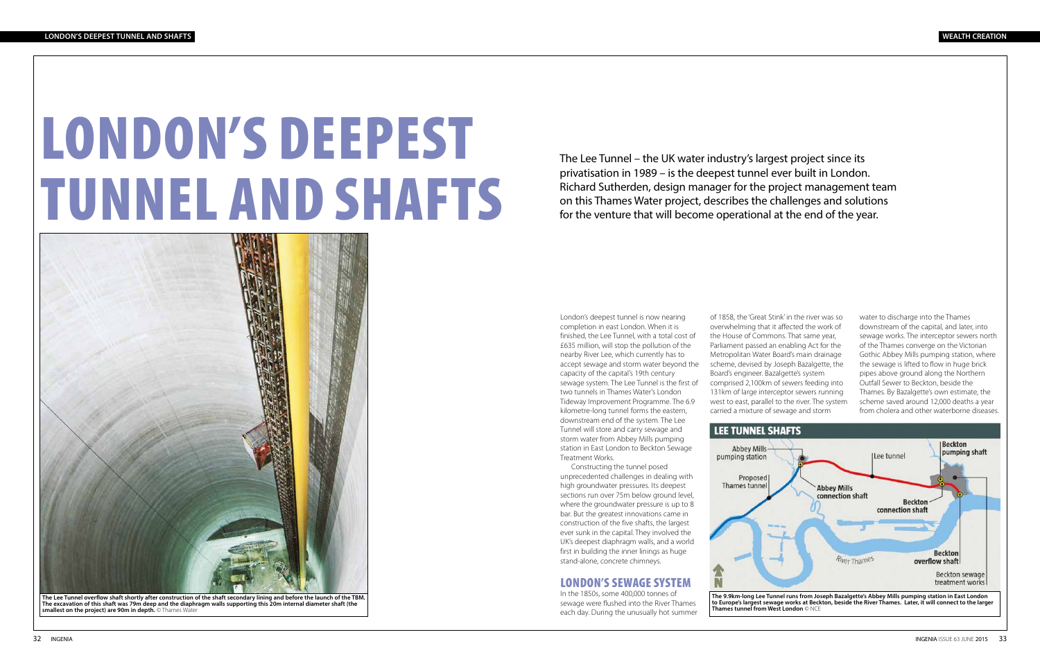# LONDON'S DEEPEST TUNNEL AND SHAFTS

The Lee Tunnel – the UK water industry's largest project since its privatisation in 1989 – is the deepest tunnel ever built in London. Richard Sutherden, design manager for the project management team on this Thames Water project, describes the challenges and solutions for the venture that will become operational at the end of the year.

London's deepest tunnel is now nearing completion in east London. When it is finished, the Lee Tunnel, with a total cost of £635 million, will stop the pollution of the nearby River Lee, which currently has to accept sewage and storm water beyond the capacity of the capital's 19th century sewage system. The Lee Tunnel is the first of two tunnels in Thames Water's London Tideway Improvement Programme. The 6.9 kilometre-long tunnel forms the eastern, downstream end of the system. The Lee Tunnel will store and carry sewage and storm water from Abbey Mills pumping station in East London to Beckton Sewage Treatment Works.

Constructing the tunnel posed unprecedented challenges in dealing with high groundwater pressures. Its deepest sections run over 75m below ground level, where the groundwater pressure is up to 8 bar. But the greatest innovations came in construction of the five shafts, the largest ever sunk in the capital. They involved the UK's deepest diaphragm walls, and a world first in building the inner linings as huge stand-alone, concrete chimneys.

#### LONDON'S SEWAGE SYSTEM

In the 1850s, some 400,000 tonnes of sewage were flushed into the River Thames each day. During the unusually hot summer

of 1858, the 'Great Stink' in the river was so overwhelming that it affected the work of the House of Commons. That same year, Parliament passed an enabling Act for the Metropolitan Water Board's main drainage scheme, devised by Joseph Bazalgette, the Board's engineer. Bazalgette's system comprised 2,100km of sewers feeding into 131km of large interceptor sewers running west to east, parallel to the river. The system carried a mixture of sewage and storm

water to discharge into the Thames downstream of the capital, and later, into sewage works. The interceptor sewers north of the Thames converge on the Victorian Gothic Abbey Mills pumping station, where the sewage is lifted to flow in huge brick pipes above ground along the Northern Outfall Sewer to Beckton, beside the Thames. By Bazalgette's own estimate, the scheme saved around 12,000 deaths a year from cholera and other waterborne diseases.





**The excavation of this shaft was 79m deep and the diaphragm walls supporting this 20m internal diameter shaft (the smallest on the project) are 90m in depth.** © Thames Water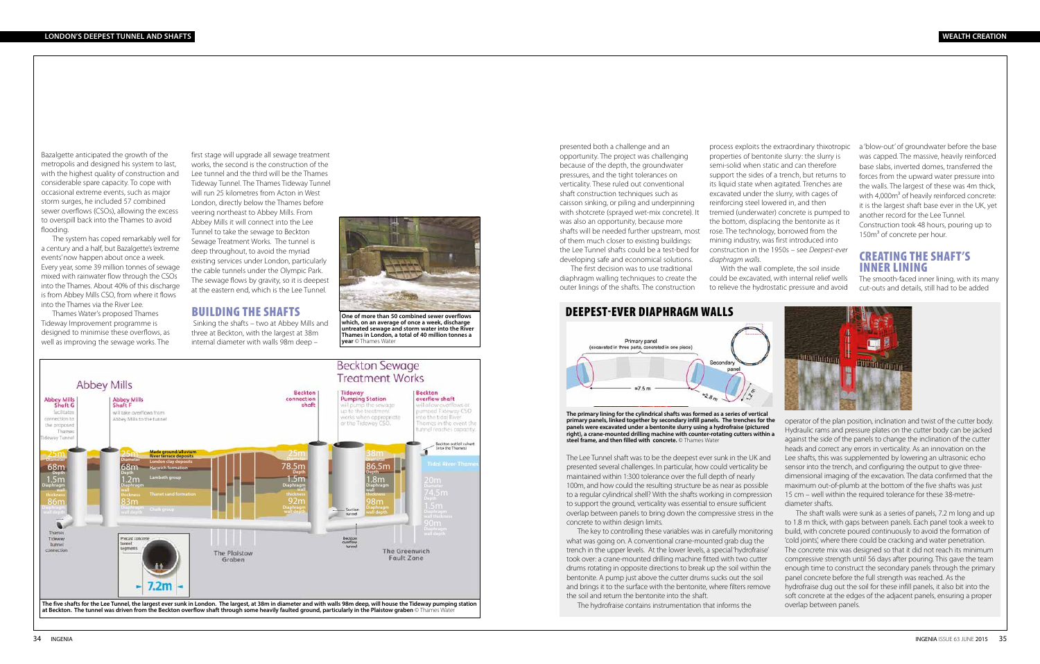Bazalgette anticipated the growth of the metropolis and designed his system to last, with the highest quality of construction and considerable spare capacity. To cope with occasional extreme events, such as major storm surges, he included 57 combined sewer overflows (CSOs), allowing the excess to overspill back into the Thames to avoid flooding.

> **One of more than 50 combined sewer overflows which, on an average of once a week, discharge untreated sewage and storm water into the River Thames in London, a total of 40 million tonnes a year** © Thames Water

The system has coped remarkably well for a century and a half, but Bazalgette's 'extreme events' now happen about once a week. Every year, some 39 million tonnes of sewage mixed with rainwater flow through the CSOs into the Thames. About 40% of this discharge is from Abbey Mills CSO, from where it flows into the Thames via the River Lee.

Thames Water's proposed Thames Tideway Improvement programme is designed to minimise these overflows, as well as improving the sewage works. The

> The Lee Tunnel shaft was to be the deepest ever sunk in the UK and presented several challenges. In particular, how could verticality be maintained within 1:300 tolerance over the full depth of nearly 100m, and how could the resulting structure be as near as possible to a regular cylindrical shell? With the shafts working in compression to support the ground, verticality was essential to ensure sufficient overlap between panels to bring down the compressive stress in the concrete to within design limits.

> The key to controlling these variables was in carefully monitoring what was going on. A conventional crane-mounted grab dug the trench in the upper levels. At the lower levels, a special 'hydrofraise' took over: a crane-mounted drilling machine fitted with two cutter drums rotating in opposite directions to break up the soil within the bentonite. A pump just above the cutter drums sucks out the soil and brings it to the surface with the bentonite, where filters remove the soil and return the bentonite into the shaft. The hydrofraise contains instrumentation that informs the

## DEEPEST-EVER DIAPHRAGM WALLS



operator of the plan position, inclination and twist of the cutter body. Hydraulic rams and pressure plates on the cutter body can be jacked against the side of the panels to change the inclination of the cutter heads and correct any errors in verticality. As an innovation on the Lee shafts, this was supplemented by lowering an ultrasonic echo sensor into the trench, and configuring the output to give threedimensional imaging of the excavation. The data confirmed that the maximum out-of-plumb at the bottom of the five shafts was just 15 cm – well within the required tolerance for these 38-metrediameter shafts.

a 'blow-out' of groundwater before the base was capped. The massive, heavily reinforced base slabs, inverted domes, transferred the forces from the upward water pressure into the walls. The largest of these was 4m thick, with 4,000m<sup>3</sup> of heavily reinforced concrete: it is the largest shaft base ever in the UK, yet another record for the Lee Tunnel. Construction took 48 hours, pouring up to 150m<sup>3</sup> of concrete per hour.

The shaft walls were sunk as a series of panels, 7.2 m long and up to 1.8 m thick, with gaps between panels. Each panel took a week to build, with concrete poured continuously to avoid the formation of 'cold joints', where there could be cracking and water penetration. The concrete mix was designed so that it did not reach its minimum compressive strength until 56 days after pouring. This gave the team enough time to construct the secondary panels through the primary panel concrete before the full strength was reached. As the hydrofraise dug out the soil for these infill panels, it also bit into the soft concrete at the edges of the adjacent panels, ensuring a proper overlap between panels.

**The primary lining for the cylindrical shafts was formed as a series of vertical primary panels, linked together by secondary infill panels. The trenches for the panels were excavated under a bentonite slurry using a hydrofraise (pictured right), a crane-mounted drilling machine with counter-rotating cutters within a steel frame, and then filled with concrete.** © Thames Water



first stage will upgrade all sewage treatment works, the second is the construction of the Lee tunnel and the third will be the Thames Tideway Tunnel. The Thames Tideway Tunnel will run 25 kilometres from Acton in West London, directly below the Thames before veering northeast to Abbey Mills. From Abbey Mills it will connect into the Lee Tunnel to take the sewage to Beckton Sewage Treatment Works. The tunnel is deep throughout, to avoid the myriad existing services under London, particularly the cable tunnels under the Olympic Park. The sewage flows by gravity, so it is deepest at the eastern end, which is the Lee Tunnel.

#### BUILDING THE SHAFTS

 Sinking the shafts – two at Abbey Mills and three at Beckton, with the largest at 38m internal diameter with walls 98m deep –



presented both a challenge and an opportunity. The project was challenging because of the depth, the groundwater pressures, and the tight tolerances on verticality. These ruled out conventional shaft construction techniques such as caisson sinking, or piling and underpinning with shotcrete (sprayed wet-mix concrete). It was also an opportunity, because more shafts will be needed further upstream, most of them much closer to existing buildings: the Lee Tunnel shafts could be a test-bed for developing safe and economical solutions.

The first decision was to use traditional diaphragm walling techniques to create the outer linings of the shafts. The construction

process exploits the extraordinary thixotropic properties of bentonite slurry: the slurry is semi-solid when static and can therefore support the sides of a trench, but returns to its liquid state when agitated. Trenches are excavated under the slurry, with cages of reinforcing steel lowered in, and then tremied (underwater) concrete is pumped to the bottom, displacing the bentonite as it rose. The technology, borrowed from the mining industry, was first introduced into construction in the 1950s – see *Deepest-ever diaphragm walls*.

With the wall complete, the soil inside could be excavated, with internal relief wells to relieve the hydrostatic pressure and avoid

#### CREATING THE SHAFT'S INNER LINING

The smooth-faced inner lining, with its many cut-outs and details, still had to be added

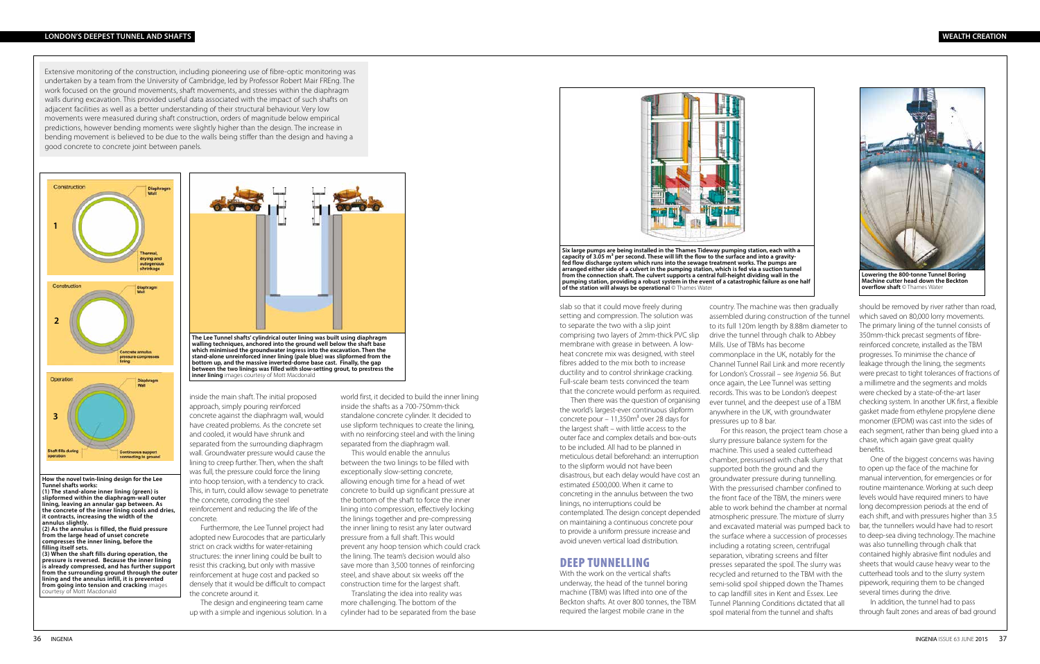inside the main shaft. The initial proposed approach, simply pouring reinforced concrete against the diaphragm wall, would have created problems. As the concrete set and cooled, it would have shrunk and separated from the surrounding diaphragm wall. Groundwater pressure would cause the lining to creep further. Then, when the shaft was full, the pressure could force the lining into hoop tension, with a tendency to crack. This, in turn, could allow sewage to penetrate the concrete, corroding the steel reinforcement and reducing the life of the concrete.

Furthermore, the Lee Tunnel project had adopted new Eurocodes that are particularly strict on crack widths for water-retaining structures: the inner lining could be built to resist this cracking, but only with massive reinforcement at huge cost and packed so densely that it would be difficult to compact the concrete around it.

The design and engineering team came up with a simple and ingenious solution. In a

world first, it decided to build the inner lining inside the shafts as a 700-750mm-thick standalone concrete cylinder. It decided to use slipform techniques to create the lining, with no reinforcing steel and with the lining separated from the diaphragm wall.

This would enable the annulus between the two linings to be filled with exceptionally slow-setting concrete, allowing enough time for a head of wet concrete to build up significant pressure at the bottom of the shaft to force the inner lining into compression, effectively locking the linings together and pre-compressing the inner lining to resist any later outward pressure from a full shaft. This would prevent any hoop tension which could crack the lining. The team's decision would also save more than 3,500 tonnes of reinforcing steel, and shave about six weeks off the construction time for the largest shaft.

Translating the idea into reality was more challenging. The bottom of the cylinder had to be separated from the base



slab so that it could move freely during setting and compression. The solution was to separate the two with a slip joint comprising two layers of 2mm-thick PVC slip membrane with grease in between. A lowheat concrete mix was designed, with steel fibres added to the mix both to increase ductility and to control shrinkage cracking. Full-scale beam tests convinced the team that the concrete would perform as required.

Then there was the question of organising the world's largest-ever continuous slipform concrete pour  $-11,350m<sup>3</sup>$  over 28 days for the largest shaft – with little access to the outer face and complex details and box-outs to be included. All had to be planned in meticulous detail beforehand: an interruption to the slipform would not have been disastrous, but each delay would have cost an estimated £500,000. When it came to concreting in the annulus between the two linings, no interruptions could be contemplated. The design concept depended on maintaining a continuous concrete pour to provide a uniform pressure increase and avoid uneven vertical load distribution.

#### DEEP TUNNELLING

With the work on the vertical shafts underway, the head of the tunnel boring machine (TBM) was lifted into one of the Beckton shafts. At over 800 tonnes, the TBM required the largest mobile crane in the

country. The machine was then gradually assembled during construction of the tunnel to its full 120m length by 8.88m diameter to drive the tunnel through chalk to Abbey Mills. Use of TBMs has become commonplace in the UK, notably for the Channel Tunnel Rail Link and more recently for London's Crossrail – see *Ingenia* 56. But once again, the Lee Tunnel was setting records. This was to be London's deepest ever tunnel, and the deepest use of a TBM anywhere in the UK, with groundwater pressures up to 8 bar.

For this reason, the project team chose a slurry pressure balance system for the machine. This used a sealed cutterhead chamber, pressurised with chalk slurry that supported both the ground and the groundwater pressure during tunnelling. With the pressurised chamber confined to the front face of the TBM, the miners were able to work behind the chamber at normal atmospheric pressure. The mixture of slurry and excavated material was pumped back to the surface where a succession of processes including a rotating screen, centrifugal separation, vibrating screens and filter presses separated the spoil. The slurry was recycled and returned to the TBM with the semi-solid spoil shipped down the Thames to cap landfill sites in Kent and Essex. Lee Tunnel Planning Conditions dictated that all spoil material from the tunnel and shafts

should be removed by river rather than road, which saved on 80,000 lorry movements. The primary lining of the tunnel consists of 350mm-thick precast segments of fibrereinforced concrete, installed as the TBM progresses. To minimise the chance of leakage through the lining, the segments were precast to tight tolerances of fractions of a millimetre and the segments and molds were checked by a state-of-the-art laser checking system. In another UK first, a flexible gasket made from ethylene propylene diene monomer (EPDM) was cast into the sides of each segment, rather than being glued into a chase, which again gave great quality benefits.

One of the biggest concerns was having to open up the face of the machine for manual intervention, for emergencies or for routine maintenance. Working at such deep levels would have required miners to have long decompression periods at the end of each shift, and with pressures higher than 3.5 bar, the tunnellers would have had to resort to deep-sea diving technology. The machine was also tunnelling through chalk that contained highly abrasive flint nodules and sheets that would cause heavy wear to the cutterhead tools and to the slurry system pipework, requiring them to be changed several times during the drive.

In addition, the tunnel had to pass through fault zones and areas of bad ground

**Six large pumps are being installed in the Thames Tideway pumping station, each with a**  capacity of 3.05 m<sup>3</sup> per second. These will lift the flow to the surface and into a gravity**fed flow discharge system which runs into the sewage treatment works. The pumps are arranged either side of a culvert in the pumping station, which is fed via a suction tunnel from the connection shaft. The culvert supports a central full-height dividing wall in the pumping station, providing a robust system in the event of a catastrophic failure as one half of the station will always be operational** © Thames Water



**Machine cutter head down the Beckton overflow shaft** © Thames Water

 Extensive monitoring of the construction, including pioneering use of fibre-optic monitoring was undertaken by a team from the University of Cambridge, led by Professor Robert Mair FREng. The work focused on the ground movements, shaft movements, and stresses within the diaphragm walls during excavation. This provided useful data associated with the impact of such shafts on adjacent facilities as well as a better understanding of their structural behaviour. Very low movements were measured during shaft construction, orders of magnitude below empirical predictions, however bending moments were slightly higher than the design. The increase in bending movement is believed to be due to the walls being stiffer than the design and having a good concrete to concrete joint between panels.





**How the novel twin-lining design for the Lee Tunnel shafts works: (1) The stand-alone inner lining (green) is** 

**slipformed within the diaphragm-wall outer lining, leaving an annular gap between. As the concrete of the inner lining cools and dries, it contracts, increasing the width of the annulus slightly.** 

**(2) As the annulus is filled, the fluid pressure from the large head of unset concrete compresses the inner lining, before the filling itself sets.** 

**(3) When the shaft fills during operation, the pressure is reversed. Because the inner lining is already compressed, and has further support from the surrounding ground through the outer lining and the annulus infill, it is prevented from going into tension and cracking** images courtesy of Mott Macdonald

#### **LONDON'S DEEPEST TUNNEL AND SHAFTS WEALTH CREATION**